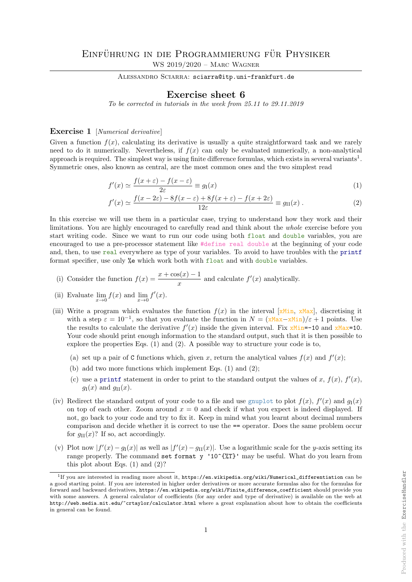ALESSANDRO SCIARRA: sciarra@itp.uni-frankfurt.de

## Exercise sheet 6

To be corrected in tutorials in the week from 25.11 to 29.11.2019

## Exercise 1 [Numerical derivative]

Given a function  $f(x)$ , calculating its derivative is usually a quite straightforward task and we rarely need to do it numerically. Nevertheless, if  $f(x)$  can only be evaluated numerically, a non-analytical approach is required. The simplest way is using finite difference formulas, which exists in several variants<sup>1</sup>. Symmetric ones, also known as central, are the most common ones and the two simplest read

$$
f'(x) \simeq \frac{f(x+\varepsilon) - f(x-\varepsilon)}{2\varepsilon} \equiv g_{\rm I}(x) \tag{1}
$$

$$
f'(x) \simeq \frac{f(x - 2\varepsilon) - 8f(x - \varepsilon) + 8f(x + \varepsilon) - f(x + 2\varepsilon)}{12\varepsilon} \equiv g_{\text{II}}(x) \,. \tag{2}
$$

In this exercise we will use them in a particular case, trying to understand how they work and their limitations. You are highly encouraged to carefully read and think about the whole exercise before you start writing code. Since we want to run our code using both float and double variables, you are encouraged to use a pre-processor statement like #define real double at the beginning of your code and, then, to use real everywhere as type of your variables. To avoid to have troubles with the printf format specifier, use only %e which work both with float and with double variables.

(i) Consider the function 
$$
f(x) = \frac{x + \cos(x) - 1}{x}
$$
 and calculate  $f'(x)$  analytically.

- (ii) Evaluate  $\lim_{x\to 0} f(x)$  and  $\lim_{x\to 0} f'(x)$ .
- (iii) Write a program which evaluates the function  $f(x)$  in the interval [xMin, xMax], discretising it with a step  $\varepsilon = 10^{-1}$ , so that you evaluate the function in  $N = (\frac{x \text{Max} - x \text{Min}}{\varepsilon} + 1)$  points. Use the results to calculate the derivative  $f'(x)$  inside the given interval. Fix xMin=-10 and xMax=10. Your code should print enough information to the standard output, such that it is then possible to explore the properties Eqs. (1) and (2). A possible way to structure your code is to,
	- (a) set up a pair of C functions which, given x, return the analytical values  $f(x)$  and  $f'(x)$ ;
	- (b) add two more functions which implement Eqs.  $(1)$  and  $(2)$ ;
	- (c) use a printf statement in order to print to the standard output the values of x,  $f(x)$ ,  $f'(x)$ ,  $g_{\rm I}(x)$  and  $g_{\rm II}(x)$ .
- (iv) Redirect the standard output of your code to a file and use gnuplot to plot  $f(x)$ ,  $f'(x)$  and  $g_1(x)$ on top of each other. Zoom around  $x = 0$  and check if what you expect is indeed displayed. If not, go back to your code and try to fix it. Keep in mind what you learnt about decimal numbers comparison and decide whether it is correct to use the == operator. Does the same problem occur for  $g_{\text{II}}(x)$ ? If so, act accordingly.
- (v) Plot now  $|f'(x) g_1(x)|$  as well as  $|f'(x) g_1(x)|$ . Use a logarithmic scale for the y-axis setting its range properly. The command set format y '10^{%T}' may be useful. What do you learn from this plot about Eqs.  $(1)$  and  $(2)$ ?

<sup>&</sup>lt;sup>1</sup>If you are interested in reading more about it, https://en.wikipedia.org/wiki/Numerical\_differentiation can be a good starting point. If you are interested in higher order derivatives or more accurate formulas also for the formulas for forward and backward derivatives, https://en.wikipedia.org/wiki/Finite\_difference\_coefficient should provide you with some answers. A general calculator of coefficients (for any order and type of derivative) is available on the web at http://web.media.mit.edu/~crtaylor/calculator.html where a great explanation about how to obtain the coefficients in general can be found.